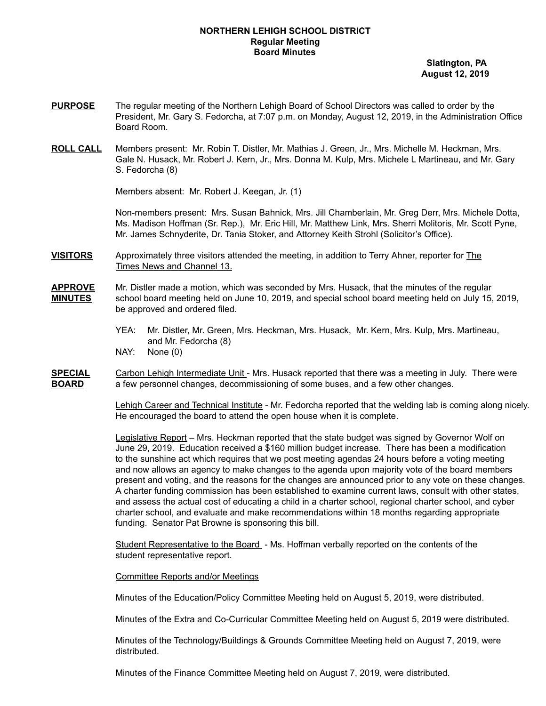## **NORTHERN LEHIGH SCHOOL DISTRICT Regular Meeting Board Minutes**

**Slatington, PA August 12, 2019**

- **PURPOSE** The regular meeting of the Northern Lehigh Board of School Directors was called to order by the President, Mr. Gary S. Fedorcha, at 7:07 p.m. on Monday, August 12, 2019, in the Administration Office Board Room.
- **ROLL CALL** Members present: Mr. Robin T. Distler, Mr. Mathias J. Green, Jr., Mrs. Michelle M. Heckman, Mrs. Gale N. Husack, Mr. Robert J. Kern, Jr., Mrs. Donna M. Kulp, Mrs. Michele L Martineau, and Mr. Gary S. Fedorcha (8)

Members absent: Mr. Robert J. Keegan, Jr. (1)

Non-members present: Mrs. Susan Bahnick, Mrs. Jill Chamberlain, Mr. Greg Derr, Mrs. Michele Dotta, Ms. Madison Hoffman (Sr. Rep.), Mr. Eric Hill, Mr. Matthew Link, Mrs. Sherri Molitoris, Mr. Scott Pyne, Mr. James Schnyderite, Dr. Tania Stoker, and Attorney Keith Strohl (Solicitor's Office).

**VISITORS** Approximately three visitors attended the meeting, in addition to Terry Ahner, reporter for The Times News and Channel 13.

## **APPROVE** Mr. Distler made a motion, which was seconded by Mrs. Husack, that the minutes of the regular **MINUTES** school board meeting held on June 10, 2019, and special school board meeting held on July 15, 2019, be approved and ordered filed.

YEA: Mr. Distler, Mr. Green, Mrs. Heckman, Mrs. Husack, Mr. Kern, Mrs. Kulp, Mrs. Martineau, and Mr. Fedorcha (8)

NAY: None (0)

**SPECIAL** Carbon Lehigh Intermediate Unit - Mrs. Husack reported that there was a meeting in July. There were **BOARD** a few personnel changes, decommissioning of some buses, and a few other changes.

> Lehigh Career and Technical Institute - Mr. Fedorcha reported that the welding lab is coming along nicely. He encouraged the board to attend the open house when it is complete.

> Legislative Report – Mrs. Heckman reported that the state budget was signed by Governor Wolf on June 29, 2019. Education received a \$160 million budget increase. There has been a modification to the sunshine act which requires that we post meeting agendas 24 hours before a voting meeting and now allows an agency to make changes to the agenda upon majority vote of the board members present and voting, and the reasons for the changes are announced prior to any vote on these changes. A charter funding commission has been established to examine current laws, consult with other states, and assess the actual cost of educating a child in a charter school, regional charter school, and cyber charter school, and evaluate and make recommendations within 18 months regarding appropriate funding. Senator Pat Browne is sponsoring this bill.

Student Representative to the Board - Ms. Hoffman verbally reported on the contents of the student representative report.

## Committee Reports and/or Meetings

Minutes of the Education/Policy Committee Meeting held on August 5, 2019, were distributed.

Minutes of the Extra and Co-Curricular Committee Meeting held on August 5, 2019 were distributed.

Minutes of the Technology/Buildings & Grounds Committee Meeting held on August 7, 2019, were distributed.

Minutes of the Finance Committee Meeting held on August 7, 2019, were distributed.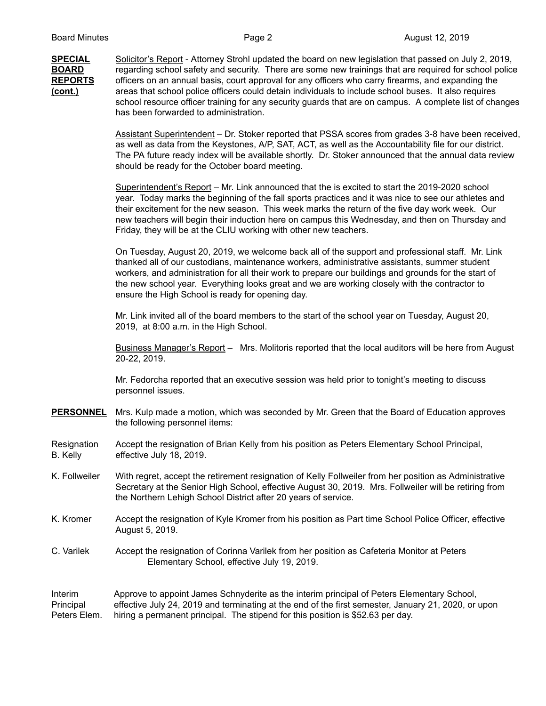**SPECIAL** Solicitor's Report - Attorney Strohl updated the board on new legislation that passed on July 2, 2019, **BOARD** regarding school safety and security. There are some new trainings that are required for school police **REPORTS** officers on an annual basis, court approval for any officers who carry firearms, and expanding the **(cont.)** areas that school police officers could detain individuals to include school buses. It also requires school resource officer training for any security guards that are on campus. A complete list of changes has been forwarded to administration.

> Assistant Superintendent – Dr. Stoker reported that PSSA scores from grades 3-8 have been received, as well as data from the Keystones, A/P, SAT, ACT, as well as the Accountability file for our district. The PA future ready index will be available shortly. Dr. Stoker announced that the annual data review should be ready for the October board meeting.

Superintendent's Report – Mr. Link announced that the is excited to start the 2019-2020 school year. Today marks the beginning of the fall sports practices and it was nice to see our athletes and their excitement for the new season. This week marks the return of the five day work week. Our new teachers will begin their induction here on campus this Wednesday, and then on Thursday and Friday, they will be at the CLIU working with other new teachers.

On Tuesday, August 20, 2019, we welcome back all of the support and professional staff. Mr. Link thanked all of our custodians, maintenance workers, administrative assistants, summer student workers, and administration for all their work to prepare our buildings and grounds for the start of the new school year. Everything looks great and we are working closely with the contractor to ensure the High School is ready for opening day.

Mr. Link invited all of the board members to the start of the school year on Tuesday, August 20, 2019, at 8:00 a.m. in the High School.

Business Manager's Report - Mrs. Molitoris reported that the local auditors will be here from August 20-22, 2019.

Mr. Fedorcha reported that an executive session was held prior to tonight's meeting to discuss personnel issues.

**PERSONNEL** Mrs. Kulp made a motion, which was seconded by Mr. Green that the Board of Education approves the following personnel items:

Resignation Accept the resignation of Brian Kelly from his position as Peters Elementary School Principal, B. Kelly effective July 18, 2019.

- K. Follweiler With regret, accept the retirement resignation of Kelly Follweiler from her position as Administrative Secretary at the Senior High School, effective August 30, 2019. Mrs. Follweiler will be retiring from the Northern Lehigh School District after 20 years of service.
- K. Kromer Accept the resignation of Kyle Kromer from his position as Part time School Police Officer, effective August 5, 2019.
- C. Varilek Accept the resignation of Corinna Varilek from her position as Cafeteria Monitor at Peters Elementary School, effective July 19, 2019.

Interim Approve to appoint James Schnyderite as the interim principal of Peters Elementary School, Principal effective July 24, 2019 and terminating at the end of the first semester, January 21, 2020, or upon Peters Elem. hiring a permanent principal. The stipend for this position is \$52.63 per day.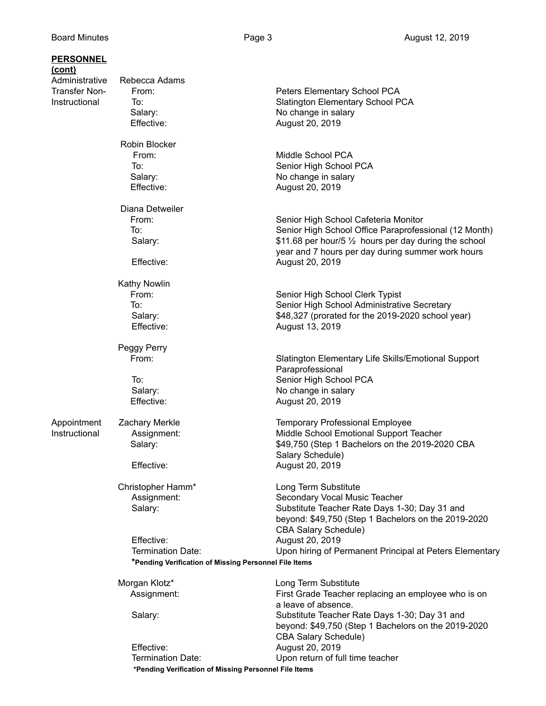| <u>PERSONNEL</u> |                                                       |                                                         |
|------------------|-------------------------------------------------------|---------------------------------------------------------|
| <u>(cont)</u>    |                                                       |                                                         |
| Administrative   | Rebecca Adams                                         |                                                         |
| Transfer Non-    | From:                                                 | Peters Elementary School PCA                            |
| Instructional    | To:                                                   | <b>Slatington Elementary School PCA</b>                 |
|                  | Salary:                                               | No change in salary                                     |
|                  | Effective:                                            | August 20, 2019                                         |
|                  |                                                       |                                                         |
|                  | Robin Blocker                                         |                                                         |
|                  | From:                                                 | Middle School PCA                                       |
|                  | To:                                                   | Senior High School PCA                                  |
|                  | Salary:                                               | No change in salary                                     |
|                  | Effective:                                            | August 20, 2019                                         |
|                  |                                                       |                                                         |
|                  | Diana Detweiler                                       |                                                         |
|                  | From:                                                 | Senior High School Cafeteria Monitor                    |
|                  | To:                                                   | Senior High School Office Paraprofessional (12 Month)   |
|                  | Salary:                                               | \$11.68 per hour/5 1/2 hours per day during the school  |
|                  |                                                       | year and 7 hours per day during summer work hours       |
|                  | Effective:                                            | August 20, 2019                                         |
|                  |                                                       |                                                         |
|                  | Kathy Nowlin                                          |                                                         |
|                  | From:                                                 | Senior High School Clerk Typist                         |
|                  | To:                                                   | Senior High School Administrative Secretary             |
|                  |                                                       |                                                         |
|                  | Salary:                                               | \$48,327 (prorated for the 2019-2020 school year)       |
|                  | Effective:                                            | August 13, 2019                                         |
|                  |                                                       |                                                         |
|                  | Peggy Perry<br>From:                                  |                                                         |
|                  |                                                       | Slatington Elementary Life Skills/Emotional Support     |
|                  |                                                       | Paraprofessional                                        |
|                  | To:                                                   | Senior High School PCA                                  |
|                  | Salary:                                               | No change in salary                                     |
|                  | Effective:                                            | August 20, 2019                                         |
|                  |                                                       |                                                         |
| Appointment      | <b>Zachary Merkle</b>                                 | <b>Temporary Professional Employee</b>                  |
| Instructional    | Assignment:                                           | Middle School Emotional Support Teacher                 |
|                  | Salary:                                               | \$49,750 (Step 1 Bachelors on the 2019-2020 CBA         |
|                  |                                                       | Salary Schedule)                                        |
|                  | Effective:                                            | August 20, 2019                                         |
|                  |                                                       |                                                         |
|                  | Christopher Hamm*                                     | Long Term Substitute                                    |
|                  | Assignment:                                           | Secondary Vocal Music Teacher                           |
|                  | Salary:                                               | Substitute Teacher Rate Days 1-30; Day 31 and           |
|                  |                                                       | beyond: \$49,750 (Step 1 Bachelors on the 2019-2020     |
|                  |                                                       | <b>CBA Salary Schedule)</b>                             |
|                  | Effective:                                            | August 20, 2019                                         |
|                  | Termination Date:                                     | Upon hiring of Permanent Principal at Peters Elementary |
|                  | *Pending Verification of Missing Personnel File Items |                                                         |
|                  |                                                       |                                                         |
|                  | Morgan Klotz*                                         | Long Term Substitute                                    |
|                  | Assignment:                                           | First Grade Teacher replacing an employee who is on     |
|                  |                                                       | a leave of absence.                                     |
|                  | Salary:                                               | Substitute Teacher Rate Days 1-30; Day 31 and           |
|                  |                                                       | beyond: \$49,750 (Step 1 Bachelors on the 2019-2020     |
|                  |                                                       | <b>CBA Salary Schedule)</b>                             |
|                  | Effective:                                            | August 20, 2019                                         |
|                  | Termination Date:                                     | Upon return of full time teacher                        |
|                  | *Pending Verification of Missing Personnel File Items |                                                         |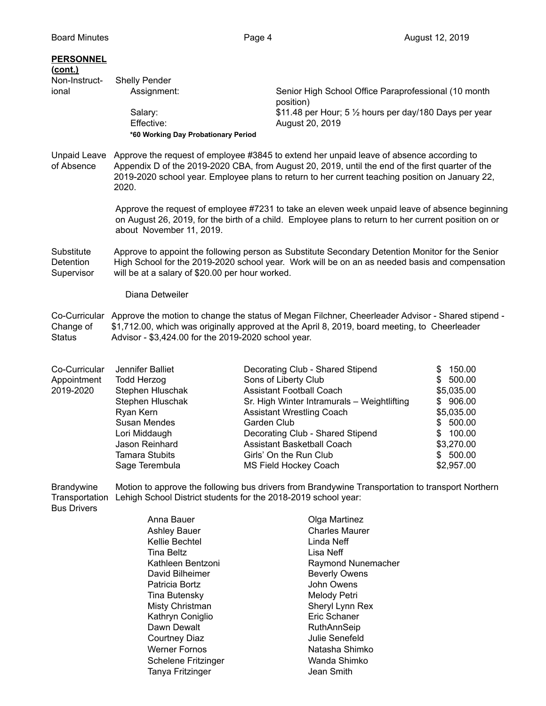## **PERSONNEL (cont.)**

| Non-Instruct-<br>ional                       | Shelly Pender                                       |                                                                                                                                                                                                                                                                                                 |         |
|----------------------------------------------|-----------------------------------------------------|-------------------------------------------------------------------------------------------------------------------------------------------------------------------------------------------------------------------------------------------------------------------------------------------------|---------|
|                                              | Assignment:                                         | Senior High School Office Paraprofessional (10 month<br>position)                                                                                                                                                                                                                               |         |
|                                              | Salary:                                             | \$11.48 per Hour; 5 1/2 hours per day/180 Days per year                                                                                                                                                                                                                                         |         |
|                                              | Effective:                                          | August 20, 2019                                                                                                                                                                                                                                                                                 |         |
|                                              | *60 Working Day Probationary Period                 |                                                                                                                                                                                                                                                                                                 |         |
| <b>Unpaid Leave</b><br>of Absence            | 2020.                                               | Approve the request of employee #3845 to extend her unpaid leave of absence according to<br>Appendix D of the 2019-2020 CBA, from August 20, 2019, until the end of the first quarter of the<br>2019-2020 school year. Employee plans to return to her current teaching position on January 22, |         |
|                                              | about November 11, 2019.                            | Approve the request of employee #7231 to take an eleven week unpaid leave of absence beginning<br>on August 26, 2019, for the birth of a child. Employee plans to return to her current position on or                                                                                          |         |
| Substitute<br><b>Detention</b><br>Supervisor | will be at a salary of \$20.00 per hour worked.     | Approve to appoint the following person as Substitute Secondary Detention Monitor for the Senior<br>High School for the 2019-2020 school year. Work will be on an as needed basis and compensation                                                                                              |         |
|                                              | Diana Detweiler                                     |                                                                                                                                                                                                                                                                                                 |         |
| Co-Curricular<br>Change of<br>Status         | Advisor - \$3,424.00 for the 2019-2020 school year. | Approve the motion to change the status of Megan Filchner, Cheerleader Advisor - Shared stipend -<br>\$1,712.00, which was originally approved at the April 8, 2019, board meeting, to Cheerleader                                                                                              |         |
| Co-Curricular                                | Jennifer Balliet                                    | Decorating Club - Shared Stipend                                                                                                                                                                                                                                                                | \$15000 |

| Co-Curricular | Jennifer Balliet      | Decorating Club - Shared Stipend            | 150.00<br>\$. |
|---------------|-----------------------|---------------------------------------------|---------------|
| Appointment   | Todd Herzog           | Sons of Liberty Club                        | \$500.00      |
| 2019-2020     | Stephen Hluschak      | <b>Assistant Football Coach</b>             | \$5,035.00    |
|               | Stephen Hluschak      | Sr. High Winter Intramurals - Weightlifting | \$906.00      |
|               | Ryan Kern             | <b>Assistant Wrestling Coach</b>            | \$5,035.00    |
|               | Susan Mendes          | Garden Club                                 | \$500.00      |
|               | Lori Middaugh         | Decorating Club - Shared Stipend            | \$100.00      |
|               | Jason Reinhard        | <b>Assistant Basketball Coach</b>           | \$3,270.00    |
|               | <b>Tamara Stubits</b> | Girls' On the Run Club                      | \$500.00      |
|               | Sage Terembula        | <b>MS Field Hockey Coach</b>                | \$2,957.00    |
|               |                       |                                             |               |

Brandywine Motion to approve the following bus drivers from Brandywine Transportation to transport Northern Transportation Lehigh School District students for the 2018-2019 school year:

Bus Drivers

Anna Bauer **Canadian Exercise Search Anna Bauer** Colga Martinez Ashley Bauer **Charles Maurer** Kellie Bechtel **Linda** Neff Tina Beltz **Lisa Neff** Kathleen Bentzoni **Raymond Nunemacher** David Bilheimer **Beverly Owens** Patricia Bortz **John Owens** Tina Butensky **Melody Petri** Melody Petri Misty Christman Sheryl Lynn Rex Kathryn Coniglio **Executes** Eric Schaner Dawn Dewalt **National Accord RuthAnnSeip** Courtney Diaz **Julie Senefeld** Werner Fornos Natasha Shimko Schelene Fritzinger Wanda Shimko Tanya Fritzinger **Jean Smith**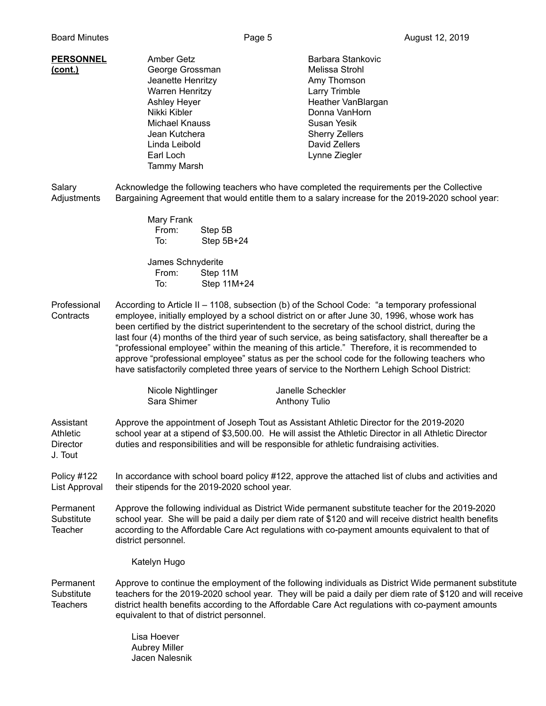| <b>PERSONNEL</b><br>(cont.) | Amber Getz<br>George Grossman<br>Jeanette Henritzy<br><b>Warren Henritzy</b><br><b>Ashley Heyer</b><br>Nikki Kibler<br>Michael Knauss<br>Jean Kutchera<br>Linda Leibold<br>Earl Loch<br>Tammy Marsh | Barbara Stankovic<br>Melissa Strohl<br>Amy Thomson<br>Larry Trimble<br>Heather VanBlargan<br>Donna VanHorn<br>Susan Yesik<br><b>Sherry Zellers</b><br>David Zellers<br>Lynne Ziegler |
|-----------------------------|-----------------------------------------------------------------------------------------------------------------------------------------------------------------------------------------------------|--------------------------------------------------------------------------------------------------------------------------------------------------------------------------------------|
|-----------------------------|-----------------------------------------------------------------------------------------------------------------------------------------------------------------------------------------------------|--------------------------------------------------------------------------------------------------------------------------------------------------------------------------------------|

Salary **Acknowledge the following teachers who have completed the requirements per the Collective** Adjustments Bargaining Agreement that would entitle them to a salary increase for the 2019-2020 school year:

| Mary Frank |              |
|------------|--------------|
| From:      | Step 5B      |
| To:        | Step $5B+24$ |

James Schnyderite From: Step 11M To: Step 11M+24

Professional According to Article II – 1108, subsection (b) of the School Code: "a temporary professional Contracts employee, initially employed by a school district on or after June 30, 1996, whose work has been certified by the district superintendent to the secretary of the school district, during the last four (4) months of the third year of such service, as being satisfactory, shall thereafter be a "professional employee" within the meaning of this article." Therefore, it is recommended to approve "professional employee" status as per the school code for the following teachers who have satisfactorily completed three years of service to the Northern Lehigh School District:

| Nicole Nightlinger | Janelle Scheckler |
|--------------------|-------------------|
| Sara Shimer        | Anthony Tulio     |

Assistant Approve the appointment of Joseph Tout as Assistant Athletic Director for the 2019-2020 Athletic school year at a stipend of \$3,500.00. He will assist the Athletic Director in all Athletic Director Director duties and responsibilities and will be responsible for athletic fundraising activities. J. Tout

Policy #122 In accordance with school board policy #122, approve the attached list of clubs and activities and List Approval their stipends for the 2019-2020 school year.

Permanent Approve the following individual as District Wide permanent substitute teacher for the 2019-2020 Substitute school year. She will be paid a daily per diem rate of \$120 and will receive district health benefits Teacher according to the Affordable Care Act regulations with co-payment amounts equivalent to that of district personnel.

Katelyn Hugo

Permanent Approve to continue the employment of the following individuals as District Wide permanent substitute Substitute teachers for the 2019-2020 school year. They will be paid a daily per diem rate of \$120 and will receive Teachers district health benefits according to the Affordable Care Act regulations with co-payment amounts equivalent to that of district personnel.

> Lisa Hoever Aubrey Miller Jacen Nalesnik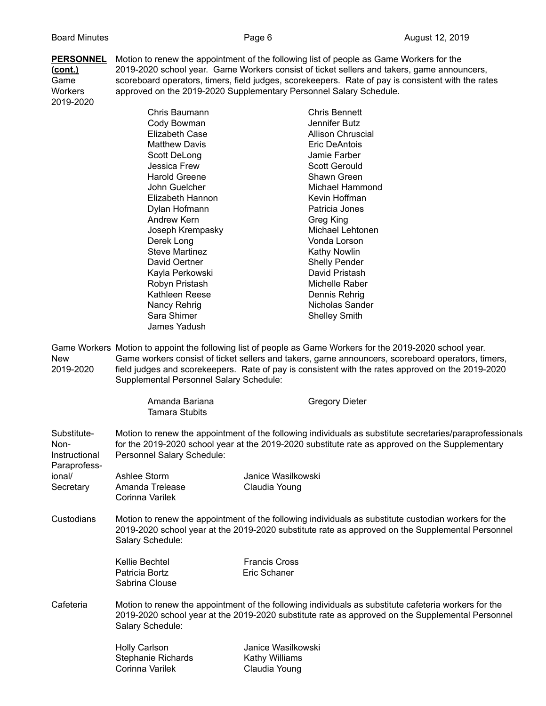**PERSONNEL** Motion to renew the appointment of the following list of people as Game Workers for the **(cont.)** 2019-2020 school year. Game Workers consist of ticket sellers and takers, game announcers, Game<br>Game scoreboard operators, timers, field judges, scorekeepers. Rate of pay is consistent with the rates<br>Workers approved on the 2019-2020 Supplementary Personnel Salary Schedule. approved on the 2019-2020 Supplementary Personnel Salary Schedule. 2019-2020

|                                                      | Chris Baumann                           |                      | <b>Chris Bennett</b><br>Jennifer Butz                                                                                                                                                                       |
|------------------------------------------------------|-----------------------------------------|----------------------|-------------------------------------------------------------------------------------------------------------------------------------------------------------------------------------------------------------|
|                                                      | Cody Bowman                             |                      |                                                                                                                                                                                                             |
|                                                      | <b>Elizabeth Case</b>                   |                      | <b>Allison Chruscial</b>                                                                                                                                                                                    |
|                                                      | <b>Matthew Davis</b>                    |                      | Eric DeAntois                                                                                                                                                                                               |
|                                                      | Scott DeLong                            |                      | Jamie Farber                                                                                                                                                                                                |
|                                                      | Jessica Frew                            |                      | <b>Scott Gerould</b>                                                                                                                                                                                        |
|                                                      | <b>Harold Greene</b>                    |                      | Shawn Green                                                                                                                                                                                                 |
|                                                      | John Guelcher                           |                      | Michael Hammond                                                                                                                                                                                             |
|                                                      | Elizabeth Hannon                        |                      | Kevin Hoffman                                                                                                                                                                                               |
|                                                      | Dylan Hofmann                           |                      | Patricia Jones                                                                                                                                                                                              |
|                                                      | Andrew Kern                             |                      | Greg King                                                                                                                                                                                                   |
|                                                      | Joseph Krempasky                        |                      | Michael Lehtonen                                                                                                                                                                                            |
|                                                      | Derek Long                              |                      | Vonda Lorson                                                                                                                                                                                                |
|                                                      | <b>Steve Martinez</b>                   |                      | <b>Kathy Nowlin</b>                                                                                                                                                                                         |
|                                                      | David Oertner                           |                      | <b>Shelly Pender</b>                                                                                                                                                                                        |
|                                                      | Kayla Perkowski                         |                      | David Pristash                                                                                                                                                                                              |
|                                                      | Robyn Pristash                          |                      | Michelle Raber                                                                                                                                                                                              |
|                                                      | Kathleen Reese                          |                      | Dennis Rehrig                                                                                                                                                                                               |
|                                                      | Nancy Rehrig                            |                      | Nicholas Sander                                                                                                                                                                                             |
|                                                      | Sara Shimer                             |                      | <b>Shelley Smith</b>                                                                                                                                                                                        |
|                                                      | James Yadush                            |                      |                                                                                                                                                                                                             |
| 2019-2020                                            | Supplemental Personnel Salary Schedule: |                      | field judges and scorekeepers. Rate of pay is consistent with the rates approved on the 2019-2020                                                                                                           |
|                                                      | Amanda Bariana<br><b>Tamara Stubits</b> |                      | <b>Gregory Dieter</b>                                                                                                                                                                                       |
| Substitute-<br>Non-<br>Instructional<br>Paraprofess- | Personnel Salary Schedule:              |                      | Motion to renew the appointment of the following individuals as substitute secretaries/paraprofessionals<br>for the 2019-2020 school year at the 2019-2020 substitute rate as approved on the Supplementary |
| ional/                                               | Ashlee Storm                            | Janice Wasilkowski   |                                                                                                                                                                                                             |
| Secretary                                            | Amanda Trelease                         | Claudia Young        |                                                                                                                                                                                                             |
|                                                      | Corinna Varilek                         |                      |                                                                                                                                                                                                             |
| Custodians                                           | Salary Schedule:                        |                      | Motion to renew the appointment of the following individuals as substitute custodian workers for the<br>2019-2020 school year at the 2019-2020 substitute rate as approved on the Supplemental Personnel    |
|                                                      | Kellie Bechtel                          | <b>Francis Cross</b> |                                                                                                                                                                                                             |
|                                                      | Patricia Bortz                          | Eric Schaner         |                                                                                                                                                                                                             |
|                                                      | Sabrina Clouse                          |                      |                                                                                                                                                                                                             |
| Cafeteria                                            | Salary Schedule:                        |                      | Motion to renew the appointment of the following individuals as substitute cafeteria workers for the<br>2019-2020 school year at the 2019-2020 substitute rate as approved on the Supplemental Personnel    |

| Janice Wasilkowski |
|--------------------|
| Kathy Williams     |
| Claudia Young      |
|                    |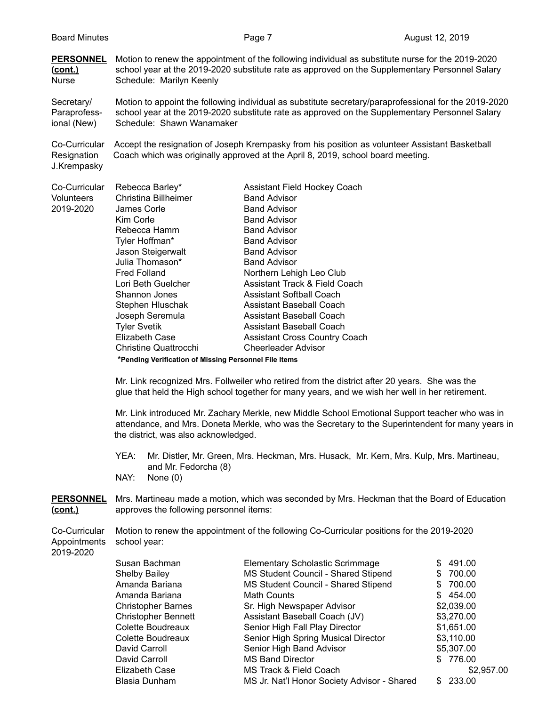**PERSONNEL** Motion to renew the appointment of the following individual as substitute nurse for the 2019-2020 **(cont.)** school year at the 2019-2020 substitute rate as approved on the Supplementary Personnel Salary Nurse Schedule: Marilyn Keenly

Secretary/ Motion to appoint the following individual as substitute secretary/paraprofessional for the 2019-2020 Paraprofess- school year at the 2019-2020 substitute rate as approved on the Supplementary Personnel Salary ional (New) Schedule: Shawn Wanamaker

Co-Curricular Accept the resignation of Joseph Krempasky from his position as volunteer Assistant Basketball Resignation Coach which was originally approved at the April 8, 2019, school board meeting. J.Krempasky

| Co-Curricular | Rebecca Barley*                                       | <b>Assistant Field Hockey Coach</b>      |
|---------------|-------------------------------------------------------|------------------------------------------|
| Volunteers    | Christina Billheimer                                  | <b>Band Advisor</b>                      |
| 2019-2020     | James Corle                                           | <b>Band Advisor</b>                      |
|               | Kim Corle                                             | <b>Band Advisor</b>                      |
|               | Rebecca Hamm                                          | <b>Band Advisor</b>                      |
|               | Tyler Hoffman*                                        | <b>Band Advisor</b>                      |
|               | Jason Steigerwalt                                     | <b>Band Advisor</b>                      |
|               | Julia Thomason*                                       | <b>Band Advisor</b>                      |
|               | <b>Fred Folland</b>                                   | Northern Lehigh Leo Club                 |
|               | Lori Beth Guelcher                                    | <b>Assistant Track &amp; Field Coach</b> |
|               | Shannon Jones                                         | <b>Assistant Softball Coach</b>          |
|               | Stephen Hluschak                                      | Assistant Baseball Coach                 |
|               | Joseph Seremula                                       | Assistant Baseball Coach                 |
|               | <b>Tyler Svetik</b>                                   | Assistant Baseball Coach                 |
|               | <b>Elizabeth Case</b>                                 | <b>Assistant Cross Country Coach</b>     |
|               | Christine Quattrocchi                                 | <b>Cheerleader Advisor</b>               |
|               | *Pending Verification of Missing Personnel File Items |                                          |

Mr. Link recognized Mrs. Follweiler who retired from the district after 20 years. She was the glue that held the High school together for many years, and we wish her well in her retirement.

Mr. Link introduced Mr. Zachary Merkle, new Middle School Emotional Support teacher who was in attendance, and Mrs. Doneta Merkle, who was the Secretary to the Superintendent for many years in the district, was also acknowledged.

- YEA: Mr. Distler, Mr. Green, Mrs. Heckman, Mrs. Husack, Mr. Kern, Mrs. Kulp, Mrs. Martineau, and Mr. Fedorcha (8)
- NAY: None (0)

**PERSONNEL** Mrs. Martineau made a motion, which was seconded by Mrs. Heckman that the Board of Education **(cont.)** approves the following personnel items:

|                           | Co-Curricular Motion to renew the appointment of the following Co-Curricular positions for the 2019-2020 |
|---------------------------|----------------------------------------------------------------------------------------------------------|
| Appointments school year: |                                                                                                          |

2019-2020

| Susan Bachman              | <b>Elementary Scholastic Scrimmage</b>      | \$491.00      |
|----------------------------|---------------------------------------------|---------------|
| <b>Shelby Bailey</b>       | MS Student Council - Shared Stipend         | 700.00<br>S.  |
| Amanda Bariana             | MS Student Council - Shared Stipend         | 700.00<br>\$. |
| Amanda Bariana             | Math Counts                                 | \$454.00      |
| <b>Christopher Barnes</b>  | Sr. High Newspaper Advisor                  | \$2,039.00    |
| <b>Christopher Bennett</b> | Assistant Baseball Coach (JV)               | \$3,270.00    |
| Colette Boudreaux          | Senior High Fall Play Director              | \$1,651.00    |
| Colette Boudreaux          | Senior High Spring Musical Director         | \$3,110.00    |
| David Carroll              | Senior High Band Advisor                    | \$5,307.00    |
| David Carroll              | <b>MS Band Director</b>                     | \$776.00      |
| Elizabeth Case             | MS Track & Field Coach                      | \$2,957.00    |
| Blasia Dunham              | MS Jr. Nat'l Honor Society Advisor - Shared | 233.00<br>S.  |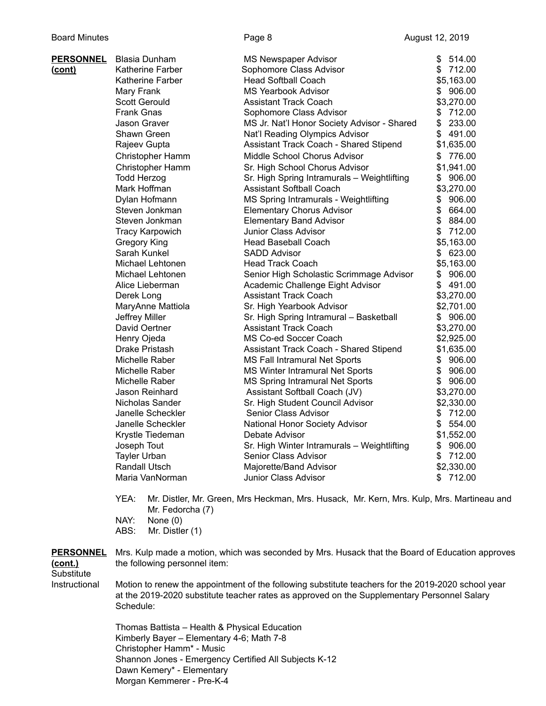| <u>PERSONNEL</u> | <b>Blasia Dunham</b>   | <b>MS Newspaper Advisor</b>                 | \$<br>514.00 |
|------------------|------------------------|---------------------------------------------|--------------|
| <u>(cont)</u>    | Katherine Farber       | Sophomore Class Advisor                     | \$712.00     |
|                  | Katherine Farber       | <b>Head Softball Coach</b>                  | \$5,163.00   |
|                  | Mary Frank             | <b>MS Yearbook Advisor</b>                  | \$906.00     |
|                  | <b>Scott Gerould</b>   | <b>Assistant Track Coach</b>                | \$3,270.00   |
|                  | <b>Frank Gnas</b>      | Sophomore Class Advisor                     | 712.00<br>\$ |
|                  | Jason Graver           | MS Jr. Nat'l Honor Society Advisor - Shared | \$<br>233.00 |
|                  | Shawn Green            | Nat'l Reading Olympics Advisor              | \$<br>491.00 |
|                  | Rajeev Gupta           | Assistant Track Coach - Shared Stipend      | \$1,635.00   |
|                  | Christopher Hamm       | Middle School Chorus Advisor                | \$776.00     |
|                  | Christopher Hamm       | Sr. High School Chorus Advisor              | \$1,941.00   |
|                  | <b>Todd Herzog</b>     | Sr. High Spring Intramurals - Weightlifting | \$906.00     |
|                  | Mark Hoffman           | <b>Assistant Softball Coach</b>             | \$3,270.00   |
|                  | Dylan Hofmann          | MS Spring Intramurals - Weightlifting       | \$<br>906.00 |
|                  | Steven Jonkman         | <b>Elementary Chorus Advisor</b>            | \$<br>664.00 |
|                  | Steven Jonkman         | <b>Elementary Band Advisor</b>              | \$<br>884.00 |
|                  | <b>Tracy Karpowich</b> | Junior Class Advisor                        | \$<br>712.00 |
|                  | <b>Gregory King</b>    | <b>Head Baseball Coach</b>                  | \$5,163.00   |
|                  | Sarah Kunkel           | <b>SADD Advisor</b>                         | \$623.00     |
|                  | Michael Lehtonen       | <b>Head Track Coach</b>                     | \$5,163.00   |
|                  | Michael Lehtonen       | Senior High Scholastic Scrimmage Advisor    | \$<br>906.00 |
|                  | Alice Lieberman        | Academic Challenge Eight Advisor            | \$<br>491.00 |
|                  | Derek Long             | <b>Assistant Track Coach</b>                | \$3,270.00   |
|                  | MaryAnne Mattiola      | Sr. High Yearbook Advisor                   | \$2,701.00   |
|                  | Jeffrey Miller         | Sr. High Spring Intramural - Basketball     | \$906.00     |
|                  | David Oertner          | <b>Assistant Track Coach</b>                | \$3,270.00   |
|                  | Henry Ojeda            | MS Co-ed Soccer Coach                       | \$2,925.00   |
|                  | Drake Pristash         | Assistant Track Coach - Shared Stipend      | \$1,635.00   |
|                  | Michelle Raber         | MS Fall Intramural Net Sports               | \$<br>906.00 |
|                  | Michelle Raber         | MS Winter Intramural Net Sports             | \$<br>906.00 |
|                  | Michelle Raber         | MS Spring Intramural Net Sports             | \$<br>906.00 |
|                  | Jason Reinhard         | Assistant Softball Coach (JV)               | \$3,270.00   |
|                  | Nicholas Sander        | Sr. High Student Council Advisor            | \$2,330.00   |
|                  | Janelle Scheckler      | Senior Class Advisor                        | \$712.00     |
|                  | Janelle Scheckler      | National Honor Society Advisor              | \$<br>554.00 |
|                  | Krystle Tiedeman       | Debate Advisor                              | \$1,552.00   |
|                  | Joseph Tout            | Sr. High Winter Intramurals - Weightlifting | \$<br>906.00 |
|                  | <b>Tayler Urban</b>    | Senior Class Advisor                        | \$<br>712.00 |
|                  | Randall Utsch          | Majorette/Band Advisor                      | \$2,330.00   |
|                  | Maria VanNorman        | Junior Class Advisor                        | \$712.00     |
|                  |                        |                                             |              |

YEA: Mr. Distler, Mr. Green, Mrs Heckman, Mrs. Husack, Mr. Kern, Mrs. Kulp, Mrs. Martineau and Mr. Fedorcha (7) NAY: None (0)

ABS: Mr. Distler (1)

PERSONNEL Mrs. Kulp made a motion, which was seconded by Mrs. Husack that the Board of Education approves **(cont.)** the following personnel item:

**Substitute** 

Instructional Motion to renew the appointment of the following substitute teachers for the 2019-2020 school year at the 2019-2020 substitute teacher rates as approved on the Supplementary Personnel Salary Schedule:

> Thomas Battista – Health & Physical Education Kimberly Bayer – Elementary 4-6; Math 7-8 Christopher Hamm\* - Music Shannon Jones - Emergency Certified All Subjects K-12 Dawn Kemery\* - Elementary Morgan Kemmerer - Pre-K-4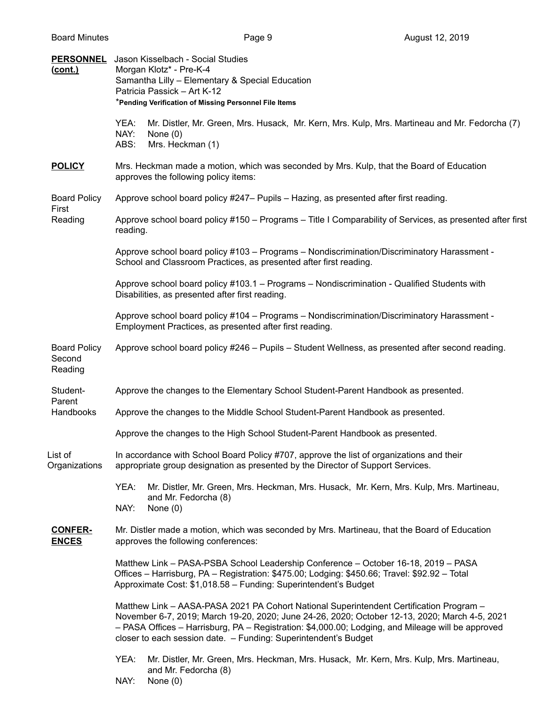| (cont.)                                  | <b>PERSONNEL</b> Jason Kisselbach - Social Studies<br>Morgan Klotz* - Pre-K-4<br>Samantha Lilly - Elementary & Special Education<br>Patricia Passick - Art K-12<br>*Pending Verification of Missing Personnel File Items                                                                                                                                         |  |  |  |  |
|------------------------------------------|------------------------------------------------------------------------------------------------------------------------------------------------------------------------------------------------------------------------------------------------------------------------------------------------------------------------------------------------------------------|--|--|--|--|
|                                          | YEA:<br>Mr. Distler, Mr. Green, Mrs. Husack, Mr. Kern, Mrs. Kulp, Mrs. Martineau and Mr. Fedorcha (7)<br>NAY:<br>None $(0)$<br>ABS:<br>Mrs. Heckman (1)                                                                                                                                                                                                          |  |  |  |  |
| <b>POLICY</b>                            | Mrs. Heckman made a motion, which was seconded by Mrs. Kulp, that the Board of Education<br>approves the following policy items:                                                                                                                                                                                                                                 |  |  |  |  |
| <b>Board Policy</b><br>First<br>Reading  | Approve school board policy #247– Pupils – Hazing, as presented after first reading.                                                                                                                                                                                                                                                                             |  |  |  |  |
|                                          | Approve school board policy #150 – Programs – Title I Comparability of Services, as presented after first<br>reading.                                                                                                                                                                                                                                            |  |  |  |  |
|                                          | Approve school board policy #103 - Programs - Nondiscrimination/Discriminatory Harassment -<br>School and Classroom Practices, as presented after first reading.                                                                                                                                                                                                 |  |  |  |  |
|                                          | Approve school board policy #103.1 - Programs - Nondiscrimination - Qualified Students with<br>Disabilities, as presented after first reading.                                                                                                                                                                                                                   |  |  |  |  |
|                                          | Approve school board policy #104 - Programs - Nondiscrimination/Discriminatory Harassment -<br>Employment Practices, as presented after first reading.                                                                                                                                                                                                           |  |  |  |  |
| <b>Board Policy</b><br>Second<br>Reading | Approve school board policy #246 - Pupils - Student Wellness, as presented after second reading.                                                                                                                                                                                                                                                                 |  |  |  |  |
| Student-<br>Parent                       | Approve the changes to the Elementary School Student-Parent Handbook as presented.                                                                                                                                                                                                                                                                               |  |  |  |  |
| Handbooks                                | Approve the changes to the Middle School Student-Parent Handbook as presented.                                                                                                                                                                                                                                                                                   |  |  |  |  |
|                                          | Approve the changes to the High School Student-Parent Handbook as presented.                                                                                                                                                                                                                                                                                     |  |  |  |  |
| List of<br>Organizations                 | In accordance with School Board Policy #707, approve the list of organizations and their<br>appropriate group designation as presented by the Director of Support Services.                                                                                                                                                                                      |  |  |  |  |
|                                          | YEA:<br>Mr. Distler, Mr. Green, Mrs. Heckman, Mrs. Husack, Mr. Kern, Mrs. Kulp, Mrs. Martineau,<br>and Mr. Fedorcha (8)<br>NAY:<br>None $(0)$                                                                                                                                                                                                                    |  |  |  |  |
| <b>CONFER-</b><br><b>ENCES</b>           | Mr. Distler made a motion, which was seconded by Mrs. Martineau, that the Board of Education<br>approves the following conferences:                                                                                                                                                                                                                              |  |  |  |  |
|                                          | Matthew Link - PASA-PSBA School Leadership Conference - October 16-18, 2019 - PASA<br>Offices - Harrisburg, PA - Registration: \$475.00; Lodging: \$450.66; Travel: \$92.92 - Total<br>Approximate Cost: \$1,018.58 - Funding: Superintendent's Budget                                                                                                           |  |  |  |  |
|                                          | Matthew Link - AASA-PASA 2021 PA Cohort National Superintendent Certification Program -<br>November 6-7, 2019; March 19-20, 2020; June 24-26, 2020; October 12-13, 2020; March 4-5, 2021<br>- PASA Offices - Harrisburg, PA - Registration: \$4,000.00; Lodging, and Mileage will be approved<br>closer to each session date. - Funding: Superintendent's Budget |  |  |  |  |
|                                          | YEA:<br>Mr. Distler, Mr. Green, Mrs. Heckman, Mrs. Husack, Mr. Kern, Mrs. Kulp, Mrs. Martineau,<br>and Mr. Fedorcha (8)                                                                                                                                                                                                                                          |  |  |  |  |

NAY: None (0)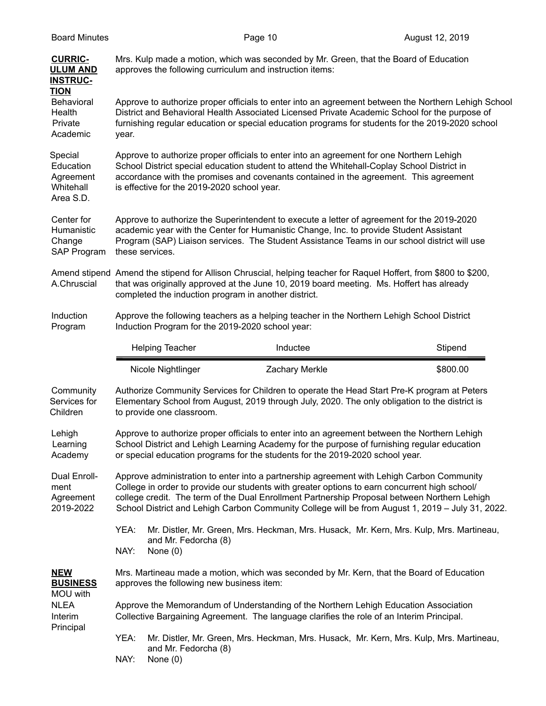| <b>CURRIC-</b><br><b>ULUM AND</b><br><b>INSTRUC-</b><br><b>TION</b> | Mrs. Kulp made a motion, which was seconded by Mr. Green, that the Board of Education<br>approves the following curriculum and instruction items:                                                                                                                                                                                                                                              |                                    |                       |                                                                                         |  |
|---------------------------------------------------------------------|------------------------------------------------------------------------------------------------------------------------------------------------------------------------------------------------------------------------------------------------------------------------------------------------------------------------------------------------------------------------------------------------|------------------------------------|-----------------------|-----------------------------------------------------------------------------------------|--|
| Behavioral<br>Health<br>Private<br>Academic                         | Approve to authorize proper officials to enter into an agreement between the Northern Lehigh School<br>District and Behavioral Health Associated Licensed Private Academic School for the purpose of<br>furnishing regular education or special education programs for students for the 2019-2020 school<br>year.                                                                              |                                    |                       |                                                                                         |  |
| Special<br>Education<br>Agreement<br>Whitehall<br>Area S.D.         | Approve to authorize proper officials to enter into an agreement for one Northern Lehigh<br>School District special education student to attend the Whitehall-Coplay School District in<br>accordance with the promises and covenants contained in the agreement. This agreement<br>is effective for the 2019-2020 school year.                                                                |                                    |                       |                                                                                         |  |
| Center for<br>Humanistic<br>Change<br>SAP Program                   | Approve to authorize the Superintendent to execute a letter of agreement for the 2019-2020<br>academic year with the Center for Humanistic Change, Inc. to provide Student Assistant<br>Program (SAP) Liaison services. The Student Assistance Teams in our school district will use<br>these services.                                                                                        |                                    |                       |                                                                                         |  |
| A.Chruscial                                                         | Amend stipend Amend the stipend for Allison Chruscial, helping teacher for Raquel Hoffert, from \$800 to \$200,<br>that was originally approved at the June 10, 2019 board meeting. Ms. Hoffert has already<br>completed the induction program in another district.                                                                                                                            |                                    |                       |                                                                                         |  |
| Induction<br>Program                                                | Approve the following teachers as a helping teacher in the Northern Lehigh School District<br>Induction Program for the 2019-2020 school year:                                                                                                                                                                                                                                                 |                                    |                       |                                                                                         |  |
|                                                                     |                                                                                                                                                                                                                                                                                                                                                                                                | <b>Helping Teacher</b>             | Inductee              | Stipend                                                                                 |  |
|                                                                     |                                                                                                                                                                                                                                                                                                                                                                                                | Nicole Nightlinger                 | <b>Zachary Merkle</b> | \$800.00                                                                                |  |
| Community<br>Services for<br>Children                               | Authorize Community Services for Children to operate the Head Start Pre-K program at Peters<br>Elementary School from August, 2019 through July, 2020. The only obligation to the district is<br>to provide one classroom.                                                                                                                                                                     |                                    |                       |                                                                                         |  |
| Lehigh<br>Learning<br>Academy                                       | Approve to authorize proper officials to enter into an agreement between the Northern Lehigh<br>School District and Lehigh Learning Academy for the purpose of furnishing regular education<br>or special education programs for the students for the 2019-2020 school year.                                                                                                                   |                                    |                       |                                                                                         |  |
| Dual Enroll-<br>ment<br>Agreement<br>2019-2022                      | Approve administration to enter into a partnership agreement with Lehigh Carbon Community<br>College in order to provide our students with greater options to earn concurrent high school/<br>college credit. The term of the Dual Enrollment Partnership Proposal between Northern Lehigh<br>School District and Lehigh Carbon Community College will be from August 1, 2019 - July 31, 2022. |                                    |                       |                                                                                         |  |
|                                                                     | YEA:<br>NAY:                                                                                                                                                                                                                                                                                                                                                                                   | and Mr. Fedorcha (8)<br>None $(0)$ |                       | Mr. Distler, Mr. Green, Mrs. Heckman, Mrs. Husack, Mr. Kern, Mrs. Kulp, Mrs. Martineau, |  |
| <b>NEW</b><br><b>BUSINESS</b><br>MOU with                           | Mrs. Martineau made a motion, which was seconded by Mr. Kern, that the Board of Education<br>approves the following new business item:                                                                                                                                                                                                                                                         |                                    |                       |                                                                                         |  |
| <b>NLEA</b><br>Interim                                              | Approve the Memorandum of Understanding of the Northern Lehigh Education Association<br>Collective Bargaining Agreement. The language clarifies the role of an Interim Principal.                                                                                                                                                                                                              |                                    |                       |                                                                                         |  |
| Principal                                                           |                                                                                                                                                                                                                                                                                                                                                                                                |                                    |                       |                                                                                         |  |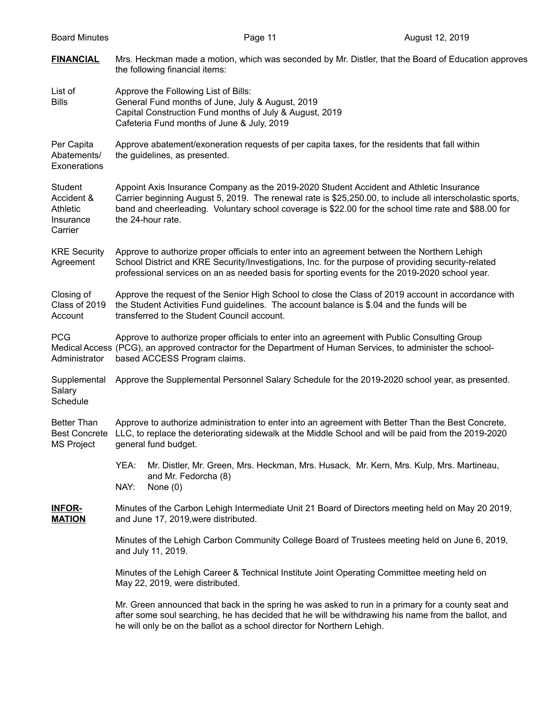| <b>Board Minutes</b>                                             | Page 11                                                                                                                                                                                                                                                                                                                           | August 12, 2019 |  |  |  |
|------------------------------------------------------------------|-----------------------------------------------------------------------------------------------------------------------------------------------------------------------------------------------------------------------------------------------------------------------------------------------------------------------------------|-----------------|--|--|--|
| <b>FINANCIAL</b>                                                 | Mrs. Heckman made a motion, which was seconded by Mr. Distler, that the Board of Education approves<br>the following financial items:                                                                                                                                                                                             |                 |  |  |  |
| List of<br><b>Bills</b>                                          | Approve the Following List of Bills:<br>General Fund months of June, July & August, 2019<br>Capital Construction Fund months of July & August, 2019<br>Cafeteria Fund months of June & July, 2019                                                                                                                                 |                 |  |  |  |
| Per Capita<br>Abatements/<br>Exonerations                        | Approve abatement/exoneration requests of per capita taxes, for the residents that fall within<br>the guidelines, as presented.                                                                                                                                                                                                   |                 |  |  |  |
| Student<br>Accident &<br><b>Athletic</b><br>Insurance<br>Carrier | Appoint Axis Insurance Company as the 2019-2020 Student Accident and Athletic Insurance<br>Carrier beginning August 5, 2019. The renewal rate is \$25,250.00, to include all interscholastic sports,<br>band and cheerleading. Voluntary school coverage is \$22.00 for the school time rate and \$88.00 for<br>the 24-hour rate. |                 |  |  |  |
| <b>KRE Security</b><br>Agreement                                 | Approve to authorize proper officials to enter into an agreement between the Northern Lehigh<br>School District and KRE Security/Investigations, Inc. for the purpose of providing security-related<br>professional services on an as needed basis for sporting events for the 2019-2020 school year.                             |                 |  |  |  |
| Closing of<br>Class of 2019<br>Account                           | Approve the request of the Senior High School to close the Class of 2019 account in accordance with<br>the Student Activities Fund guidelines. The account balance is \$.04 and the funds will be<br>transferred to the Student Council account.                                                                                  |                 |  |  |  |
| <b>PCG</b><br>Administrator                                      | Approve to authorize proper officials to enter into an agreement with Public Consulting Group<br>Medical Access (PCG), an approved contractor for the Department of Human Services, to administer the school-<br>based ACCESS Program claims.                                                                                     |                 |  |  |  |
| Supplemental<br>Salary<br>Schedule                               | Approve the Supplemental Personnel Salary Schedule for the 2019-2020 school year, as presented.                                                                                                                                                                                                                                   |                 |  |  |  |
| <b>Better Than</b><br><b>Best Concrete</b><br><b>MS Project</b>  | Approve to authorize administration to enter into an agreement with Better Than the Best Concrete,<br>LLC, to replace the deteriorating sidewalk at the Middle School and will be paid from the 2019-2020<br>general fund budget.                                                                                                 |                 |  |  |  |
|                                                                  | Mr. Distler, Mr. Green, Mrs. Heckman, Mrs. Husack, Mr. Kern, Mrs. Kulp, Mrs. Martineau,<br>YEA:<br>and Mr. Fedorcha (8)<br>NAY:<br>None $(0)$                                                                                                                                                                                     |                 |  |  |  |
| <b>INFOR-</b><br><b>MATION</b>                                   | Minutes of the Carbon Lehigh Intermediate Unit 21 Board of Directors meeting held on May 20 2019,<br>and June 17, 2019, were distributed.                                                                                                                                                                                         |                 |  |  |  |
|                                                                  | Minutes of the Lehigh Carbon Community College Board of Trustees meeting held on June 6, 2019,<br>and July 11, 2019.                                                                                                                                                                                                              |                 |  |  |  |
|                                                                  | Minutes of the Lehigh Career & Technical Institute Joint Operating Committee meeting held on<br>May 22, 2019, were distributed.                                                                                                                                                                                                   |                 |  |  |  |
|                                                                  | Mr. Green announced that back in the spring he was asked to run in a primary for a county seat and<br>after some soul searching, he has decided that he will be withdrawing his name from the ballot, and<br>he will only be on the ballot as a school director for Northern Lehigh.                                              |                 |  |  |  |